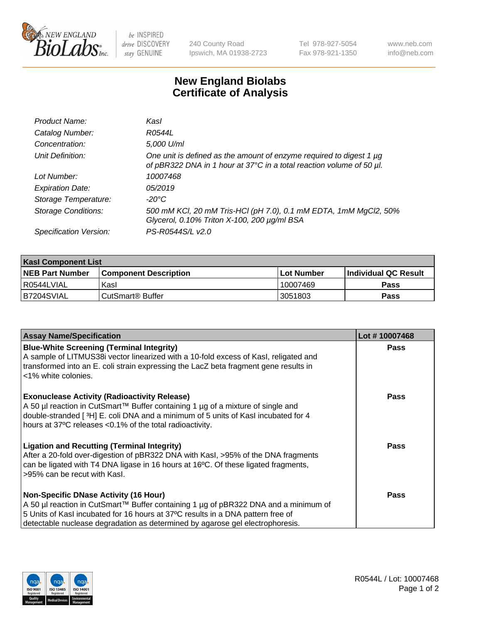

 $be$  INSPIRED drive DISCOVERY stay GENUINE

240 County Road Ipswich, MA 01938-2723 Tel 978-927-5054 Fax 978-921-1350 www.neb.com info@neb.com

## **New England Biolabs Certificate of Analysis**

| Product Name:              | Kasl                                                                                                                                        |
|----------------------------|---------------------------------------------------------------------------------------------------------------------------------------------|
| Catalog Number:            | R0544L                                                                                                                                      |
| Concentration:             | 5,000 U/ml                                                                                                                                  |
| Unit Definition:           | One unit is defined as the amount of enzyme required to digest 1 µg<br>of pBR322 DNA in 1 hour at 37°C in a total reaction volume of 50 µl. |
| Lot Number:                | 10007468                                                                                                                                    |
| <b>Expiration Date:</b>    | 05/2019                                                                                                                                     |
| Storage Temperature:       | -20°C                                                                                                                                       |
| <b>Storage Conditions:</b> | 500 mM KCl, 20 mM Tris-HCl (pH 7.0), 0.1 mM EDTA, 1mM MgCl2, 50%<br>Glycerol, 0.10% Triton X-100, 200 µg/ml BSA                             |
| Specification Version:     | PS-R0544S/L v2.0                                                                                                                            |

| <b>Kasl Component List</b> |                              |              |                             |  |
|----------------------------|------------------------------|--------------|-----------------------------|--|
| <b>NEB Part Number</b>     | <b>Component Description</b> | l Lot Number | <b>Individual QC Result</b> |  |
| I R0544LVIAL               | Kasl                         | 10007469     | <b>Pass</b>                 |  |
| B7204SVIAL                 | l CutSmart® Buffer           | 3051803      | Pass                        |  |

| <b>Assay Name/Specification</b>                                                                                                                                                                                                                                                                         | Lot #10007468 |
|---------------------------------------------------------------------------------------------------------------------------------------------------------------------------------------------------------------------------------------------------------------------------------------------------------|---------------|
| <b>Blue-White Screening (Terminal Integrity)</b><br>A sample of LITMUS38i vector linearized with a 10-fold excess of Kasl, religated and<br>transformed into an E. coli strain expressing the LacZ beta fragment gene results in<br><1% white colonies.                                                 | <b>Pass</b>   |
| <b>Exonuclease Activity (Radioactivity Release)</b><br>A 50 µl reaction in CutSmart™ Buffer containing 1 µg of a mixture of single and<br>double-stranded [3H] E. coli DNA and a minimum of 5 units of Kasl incubated for 4<br>hours at 37°C releases <0.1% of the total radioactivity.                 | <b>Pass</b>   |
| <b>Ligation and Recutting (Terminal Integrity)</b><br>After a 20-fold over-digestion of pBR322 DNA with Kasl, >95% of the DNA fragments<br>can be ligated with T4 DNA ligase in 16 hours at 16°C. Of these ligated fragments,<br>>95% can be recut with Kasl.                                           | Pass          |
| <b>Non-Specific DNase Activity (16 Hour)</b><br>A 50 µl reaction in CutSmart™ Buffer containing 1 µg of pBR322 DNA and a minimum of<br>5 Units of Kasl incubated for 16 hours at 37°C results in a DNA pattern free of<br>detectable nuclease degradation as determined by agarose gel electrophoresis. | Pass          |